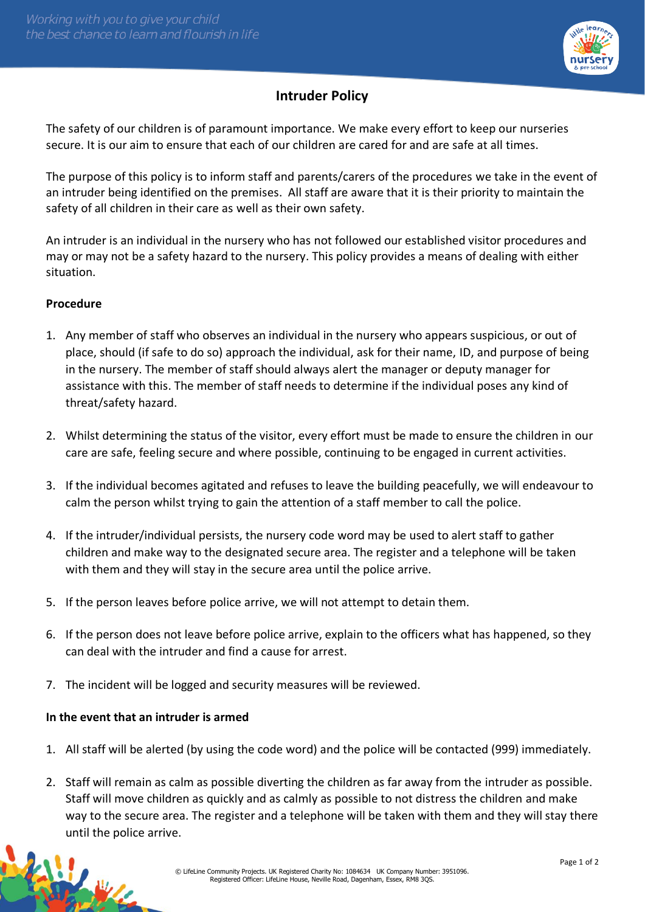

## **Intruder Policy**

The safety of our children is of paramount importance. We make every effort to keep our nurseries secure. It is our aim to ensure that each of our children are cared for and are safe at all times.

The purpose of this policy is to inform staff and parents/carers of the procedures we take in the event of an intruder being identified on the premises. All staff are aware that it is their priority to maintain the safety of all children in their care as well as their own safety.

An intruder is an individual in the nursery who has not followed our established visitor procedures and may or may not be a safety hazard to the nursery. This policy provides a means of dealing with either situation.

## **Procedure**

- 1. Any member of staff who observes an individual in the nursery who appears suspicious, or out of place, should (if safe to do so) approach the individual, ask for their name, ID, and purpose of being in the nursery. The member of staff should always alert the manager or deputy manager for assistance with this. The member of staff needs to determine if the individual poses any kind of threat/safety hazard.
- 2. Whilst determining the status of the visitor, every effort must be made to ensure the children in our care are safe, feeling secure and where possible, continuing to be engaged in current activities.
- 3. If the individual becomes agitated and refuses to leave the building peacefully, we will endeavour to calm the person whilst trying to gain the attention of a staff member to call the police.
- 4. If the intruder/individual persists, the nursery code word may be used to alert staff to gather children and make way to the designated secure area. The register and a telephone will be taken with them and they will stay in the secure area until the police arrive.
- 5. If the person leaves before police arrive, we will not attempt to detain them.
- 6. If the person does not leave before police arrive, explain to the officers what has happened, so they can deal with the intruder and find a cause for arrest.
- 7. The incident will be logged and security measures will be reviewed.

## **In the event that an intruder is armed**

- 1. All staff will be alerted (by using the code word) and the police will be contacted (999) immediately.
- 2. Staff will remain as calm as possible diverting the children as far away from the intruder as possible. Staff will move children as quickly and as calmly as possible to not distress the children and make way to the secure area. The register and a telephone will be taken with them and they will stay there until the police arrive.